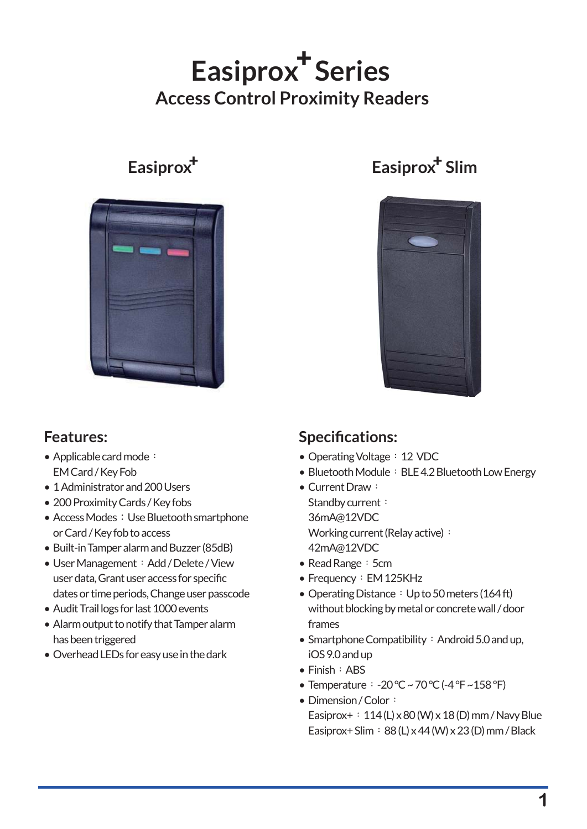# Easiprox<sup>+</sup> Series **Access Control Proximity Readers**



## **Features:**

- Applicable card mode: EM Card / Key Fob
- 1 Administrator and 200 Users
- 200 Proximity Cards / Key fobs
- Access Modes: Use Bluetooth smartphone or Card / Key fob to access
- Built-in Tamper alarm and Buzzer (85dB)
- User Management: Add / Delete / View user data, Grant user access for specific dates or time periods, Change user passcode
- Audit Trail logs for last 1000 events
- Alarm output to notify that Tamper alarm has been triggered
- Overhead LEDs for easy use in the dark •

# **Easiprox<sup>+</sup> Easiprox<sup>+</sup> Slim**



## **Specifications:**

- Operating Voltage: 12 VDC
- Bluetooth Module: BLE 4.2 Bluetooth Low Energy
- Current Draw: Standby current: 36mA@12VDC Working current (Relay active) : 42mA@12VDC
- Read Range: 5cm
- Frequency: EM 125KHz
- Operating Distance: Up to 50 meters (164 ft) without blocking by metal or concrete wall / door frames
- Smartphone Compatibility : Android 5.0 and up, iOS 9.0 and up
- Finish: ABS
- Temperature:  $-20$  °C ~ 70 °C (-4 °F ~158 °F)
- Dimension / Color: Easiprox+:  $114$  (L) x 80 (W) x 18 (D) mm / Navy Blue Easiprox+ Slim:  $88$  (L) x 44 (W) x 23 (D) mm / Black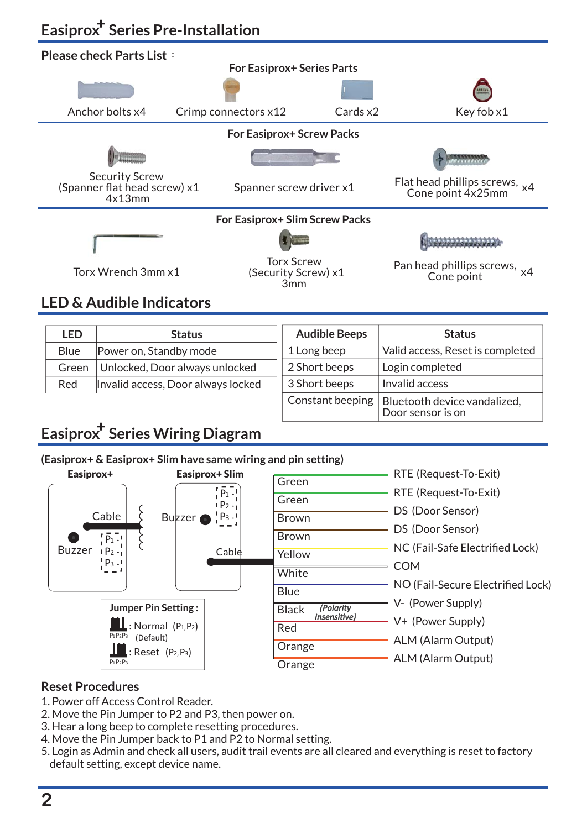# **Easiprox<sup>†</sup> Series Pre-Installation**



## **LED & Audible Indicators**

| LED         | <b>Status</b>                      | <b>Audible Beeps</b> | <b>Status</b>                    |
|-------------|------------------------------------|----------------------|----------------------------------|
| <b>Blue</b> | Power on, Standby mode             | 1 Long beep          | Valid access, Reset is completed |
| Green       | Unlocked, Door always unlocked     | 2 Short beeps        | Login completed                  |
| Red         | Invalid access, Door always locked | 3 Short beeps        | Invalid access                   |
|             |                                    | Constant beeping     | Bluetooth device vandalized,     |

Door sensor is on

# **Easiprox<sup>†</sup> Series Wiring Diagram**

#### **(Easiprox+ & Easiprox+ Slim have same wiring and pin setting)**



### **Reset Procedures**

- 1. Power off Access Control Reader.
- 2. Move the Pin Jumper to P2 and P3, then power on.
- 3. Hear a long beep to complete resetting procedures.
- 4. Move the Pin Jumper back to P1 and P2 to Normal setting.
- 5. Login as Admin and check all users, audit trail events are all cleared and everything is reset to factory default setting, except device name.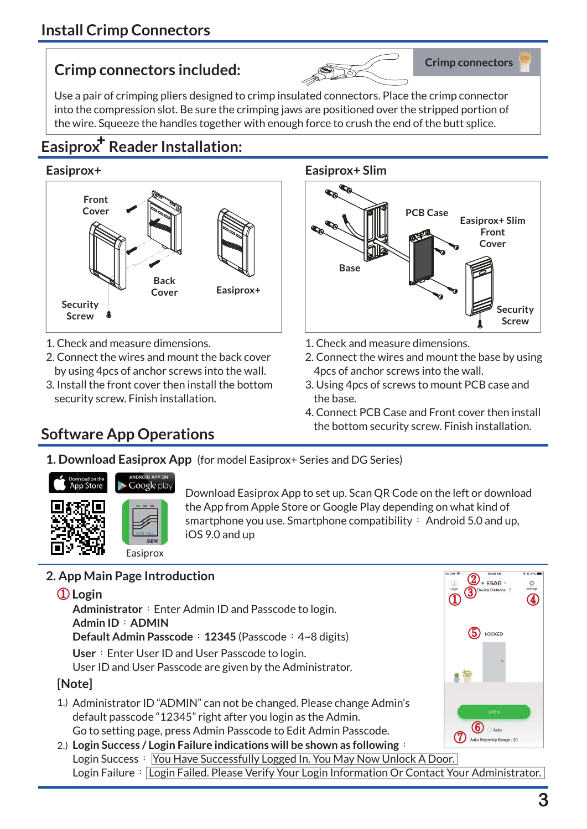# **Crimp connectors included:**



Use a pair of crimping pliers designed to crimp insulated connectors. Place the crimp connector into the compression slot. Be sure the crimping jaws are positioned over the stripped portion of the wire. Squeeze the handles together with enough force to crush the end of the butt splice.

# **Easiprox<sup>+</sup> Reader Installation:**



- 1. Check and measure dimensions.
- 2. Connect the wires and mount the back cover by using 4pcs of anchor screws into the wall.
- 3. Install the front cover then install the bottom security screw. Finish installation.

## **Software App Operations**

## **Easiprox+ Easiprox+ Slim**



- 1. Check and measure dimensions.
- 2. Connect the wires and mount the base by using 4pcs of anchor screws into the wall.
- 3. Using 4pcs of screws to mount PCB case and the base.
- 4. Connect PCB Case and Front cover then install the bottom security screw. Finish installation.
- **1. Download Easiprox App** (for model Easiprox+ Series and DG Series)



Download Easiprox App to set up. Scan QR Code on the left or download the App from Apple Store or Google Play depending on what kind of smartphone you use. Smartphone compatibility: Android 5.0 and up, iOS 9.0 and up

## **2. App Main Page Introduction**

① **Login** Administrator : Enter Admin ID and Passcode to login. **Admin ID**:**ADMIN Default Admin Passcode**:**12345** (Passcode:4~8 digits) **[Note] User**: Enter User ID and User Passcode to login. User ID and User Passcode are given by the Administrator.

- 1.) Administrator ID "ADMIN" can not be changed. Please change Admin's default passcode "12345" right after you login as the Admin. Go to setting page, press Admin Passcode to Edit Admin Passcode.
- **Login Success / Login Failure indications will be shown as following**: 2.)Login Success: You Have Successfully Logged In. You May Now Unlock A Door. Login Failure: Login Failed. Please Verify Your Login Information Or Contact Your Administrator.

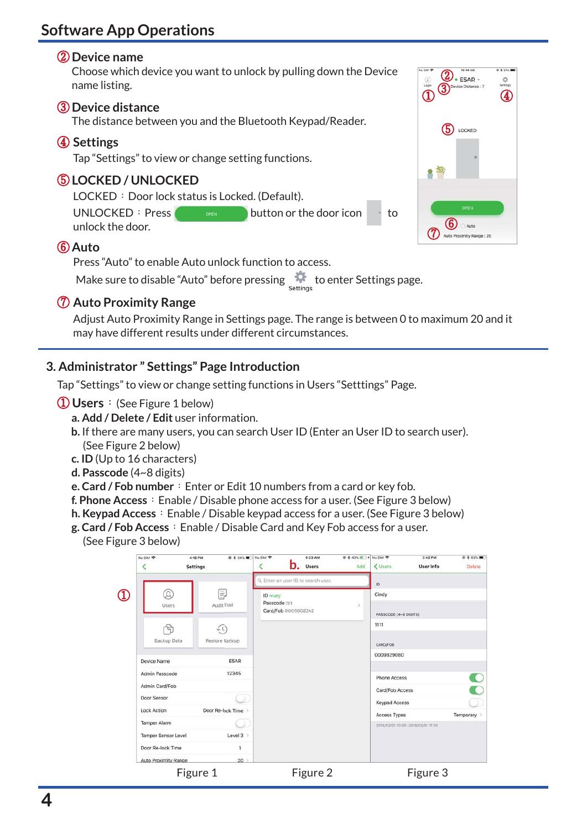## **Software App Operations**

## ② **Device name**

Choose which device you want to unlock by pulling down the Device name listing.

### ③ **Device distance**

The distance between you and the Bluetooth Keypad/Reader.

## ④ **Settings**

Tap "Settings" to view or change setting functions.

## ⑤ **LOCKED / UNLOCKED**

LOCKED: Door lock status is Locked. (Default).

UNLOCKED: Press  $\begin{array}{ccc} \bullet & \bullet & \bullet & \bullet \\ \bullet & \bullet & \bullet & \bullet \end{array}$  button or the door icon to unlock the door.

## ⑥ **Auto**

Press "Auto" to enable Auto unlock function to access.

Make sure to disable "Auto" before pressing settings to enter Settings page.

## ⑦ **Auto Proximity Range**

Adjust Auto Proximity Range in Settings page. The range is between 0 to maximum 20 and it may have different results under different circumstances.

## **3. Administrator " Settings" Page Introduction**

Tap "Settings" to view or change setting functions in Users "Setttings" Page.

- ① **Users**:(See Figure 1 below)
	- **a. Add / Delete / Edit** user information.
	- **b.** If there are many users, you can search User ID (Enter an User ID to search user). (See Figure 2 below)
	- **c. ID** (Up to 16 characters)
	- **d. Passcode** (4~8 digits)
	- **e. Card / Fob number**: Enter or Edit 10 numbers from a card or key fob.
	- **f. Phone Access**: Enable / Disable phone access for a user. (See Figure 3 below)
	- **h. Keypad Access**: Enable / Disable keypad access for a user. (See Figure 3 below)
	- **g. Card / Fob Access**:Enable / Disable Card and Key Fob access for a user. (See Figure 3 below)

|                            | No SiM 字             | 4:18 PM<br><b>● * 54%■ No SIM 全</b><br><b>Settings</b> | ∢                                    | 9:23 AM<br>$\mathbf{b}$ .<br><b>Users</b> | <b>企 * 43%</b> → No SIM <b>全</b><br>Add | < Users              | 2:42 PM<br>User Info              | <b>企 % 63%■</b><br>Delete |
|----------------------------|----------------------|--------------------------------------------------------|--------------------------------------|-------------------------------------------|-----------------------------------------|----------------------|-----------------------------------|---------------------------|
|                            |                      |                                                        | Q. Enter an user ID to search user.  |                                           |                                         | ID.                  |                                   |                           |
| $\left( \mathrm{I}\right)$ | $\Omega$             | F)                                                     | <b>ID</b> mary<br>Passcode 1111      |                                           |                                         | Cindy                |                                   |                           |
|                            | Users.               | Audit Trail                                            | $\mathcal{P}$<br>Card/Fob 0009802242 |                                           | PASSCODE (4~8 DIGITS)                   |                      |                                   |                           |
|                            |                      | びし                                                     |                                      |                                           |                                         | 1111                 |                                   |                           |
|                            | Backup Data          | Restore Backup                                         |                                      |                                           |                                         | CARD/FOB             |                                   |                           |
|                            | Device Name          | E5AR                                                   |                                      |                                           |                                         | 0009829080           |                                   |                           |
|                            | Admin Passcode       | 12345                                                  |                                      |                                           |                                         | Phone Access         |                                   | $\Box$                    |
|                            | Admin Card/Fob       |                                                        |                                      |                                           |                                         | Card/Fob Access      |                                   |                           |
|                            | Door Sensor          |                                                        |                                      |                                           |                                         | <b>Keypad Access</b> |                                   |                           |
|                            | <b>Lock Action</b>   | Door Re-lock Time                                      |                                      |                                           |                                         | Access Types         |                                   | Temporary >               |
|                            | <b>Tamper Alarm</b>  |                                                        |                                      |                                           |                                         |                      | 2018/02/01 10:00-2018/02/01 11:00 |                           |
|                            | Tamper Sensor Level  | Level $3$ >                                            |                                      |                                           |                                         |                      |                                   |                           |
|                            | Door Re-lock Time    | 1                                                      |                                      |                                           |                                         |                      |                                   |                           |
|                            | Auto Proximity Range | $20$ $>$                                               |                                      |                                           |                                         |                      |                                   |                           |
|                            |                      | Figure 1                                               |                                      | Figure 2                                  |                                         |                      | Figure 3                          |                           |

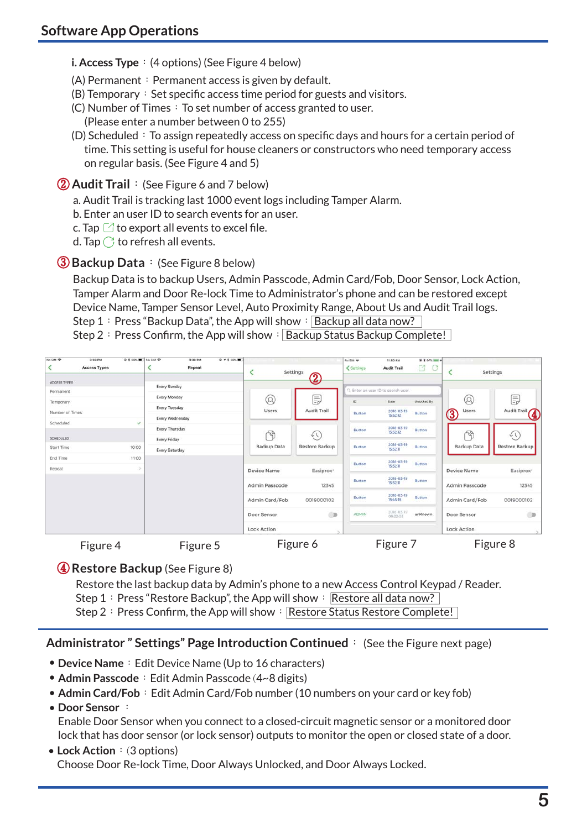**i. Access Type**: (4 options) (See Figure 4 below)

- (A) Permanent: Permanent access is given by default.
- $(B)$  Temporary: Set specific access time period for guests and visitors.
- $(C)$  Number of Times: To set number of access granted to user. (Please enter a number between 0 to 255)
- (D) Scheduled: To assign repeatedly access on specific days and hours for a certain period of time. This setting is useful for house cleaners or constructors who need temporary access on regular basis. (See Figure 4 and 5)

② **Audit Trail**:(See Figure 6 and 7 below)

a. Audit Trail is tracking last 1000 event logs including Tamper Alarm.

- b. Enter an user ID to search events for an user.
- c. Tap  $\boxdot$  to export all events to excel file.
- d. Tap  $\bigcirc$  to refresh all events.

## ③**Backup Data**:(See Figure 8 below)

Backup Data is to backup Users, Admin Passcode, Admin Card/Fob, Door Sensor, Lock Action, Tamper Alarm and Door Re-lock Time to Administrator's phone and can be restored except Device Name, Tamper Sensor Level, Auto Proximity Range, About Us and Audit Trail logs. Step 1: Press "Backup Data", the App will show:  $\overline{B}$  Backup all data now?

Step 2: Press Confirm, the App will show:  $|$  Backup Status Backup Complete!



④**Restore Backup** (See Figure 8)

Restore the last backup data by Admin's phone to a new Access Control Keypad / Reader. Step 1: Press "Restore Backup", the App will show: Restore all data now? Step 2: Press Confirm, the App will show: Restore Status Restore Complete!

### **Administrator " Settings" Page Introduction Continued**: (See the Figure next page)

- **Device Name**: Edit Device Name (Up to 16 characters)
- Admin Passcode: Edit Admin Passcode (4~8 digits)
- **Admin Card/Fob**: Edit Admin Card/Fob number (10 numbers on your card or key fob)

### • **Door Sensor** :

Enable Door Sensor when you connect to a closed-circuit magnetic sensor or a monitored door lock that has door sensor (or lock sensor) outputs to monitor the open or closed state of a door.

#### • Lock Action: (3 options) Choose Door Re-lock Time, Door Always Unlocked, and Door Always Locked.